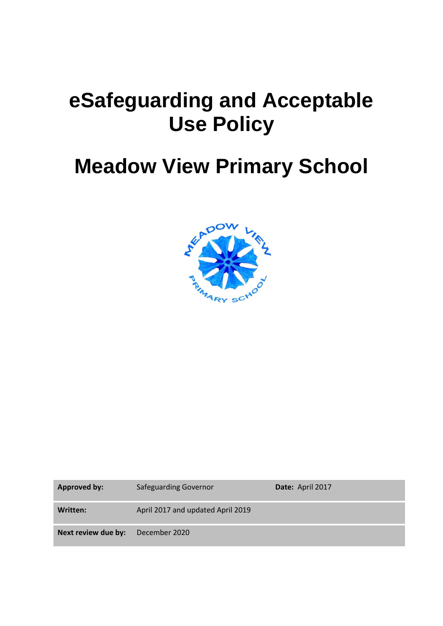# **eSafeguarding and Acceptable Use Policy**

# **Meadow View Primary School**



| <b>Approved by:</b> | <b>Safeguarding Governor</b>      | Date: April 2017 |
|---------------------|-----------------------------------|------------------|
| Written:            | April 2017 and updated April 2019 |                  |
| Next review due by: | December 2020                     |                  |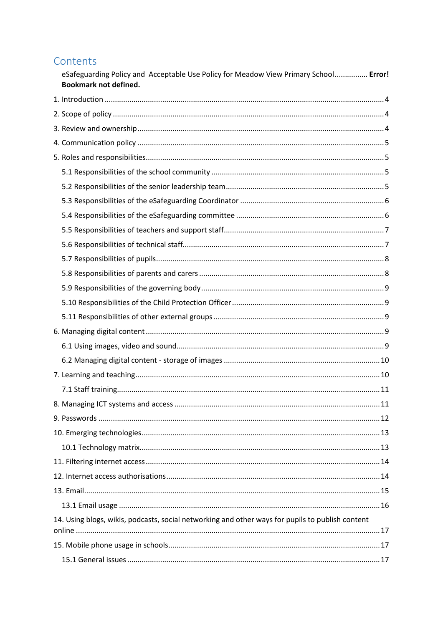# Contents

| eSafeguarding Policy and Acceptable Use Policy for Meadow View Primary School Error!<br><b>Bookmark not defined.</b> |  |
|----------------------------------------------------------------------------------------------------------------------|--|
|                                                                                                                      |  |
|                                                                                                                      |  |
|                                                                                                                      |  |
|                                                                                                                      |  |
|                                                                                                                      |  |
|                                                                                                                      |  |
|                                                                                                                      |  |
|                                                                                                                      |  |
|                                                                                                                      |  |
|                                                                                                                      |  |
|                                                                                                                      |  |
|                                                                                                                      |  |
|                                                                                                                      |  |
|                                                                                                                      |  |
|                                                                                                                      |  |
|                                                                                                                      |  |
|                                                                                                                      |  |
|                                                                                                                      |  |
|                                                                                                                      |  |
|                                                                                                                      |  |
|                                                                                                                      |  |
|                                                                                                                      |  |
|                                                                                                                      |  |
|                                                                                                                      |  |
|                                                                                                                      |  |
|                                                                                                                      |  |
|                                                                                                                      |  |
|                                                                                                                      |  |
|                                                                                                                      |  |
| 14. Using blogs, wikis, podcasts, social networking and other ways for pupils to publish content                     |  |
|                                                                                                                      |  |
|                                                                                                                      |  |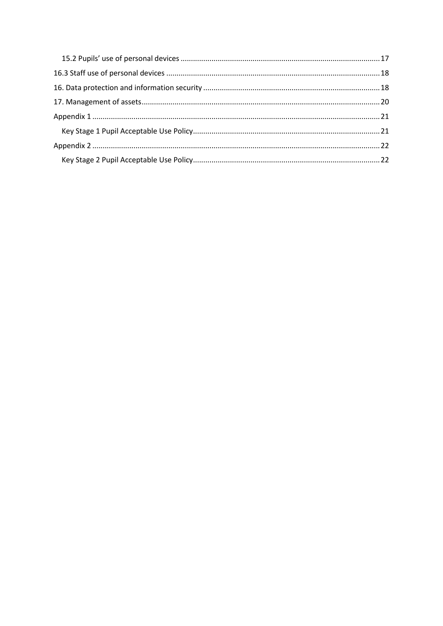<span id="page-2-0"></span>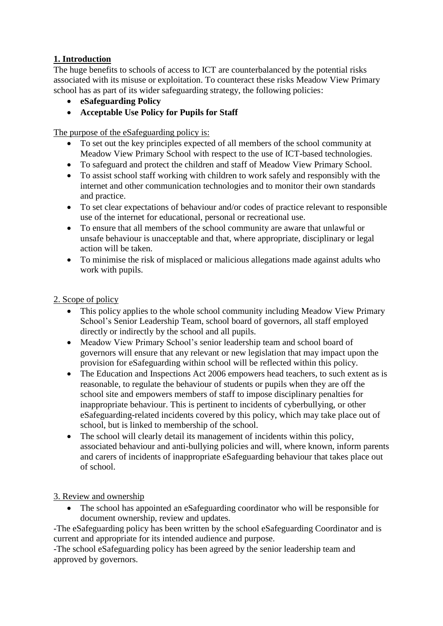### **1. Introduction**

The huge benefits to schools of access to ICT are counterbalanced by the potential risks associated with its misuse or exploitation. To counteract these risks Meadow View Primary school has as part of its wider safeguarding strategy, the following policies:

- **eSafeguarding Policy**
- **Acceptable Use Policy for Pupils for Staff**

The purpose of the eSafeguarding policy is:

- To set out the key principles expected of all members of the school community at Meadow View Primary School with respect to the use of ICT-based technologies.
- To safeguard and protect the children and staff of Meadow View Primary School.
- To assist school staff working with children to work safely and responsibly with the internet and other communication technologies and to monitor their own standards and practice.
- To set clear expectations of behaviour and/or codes of practice relevant to responsible use of the internet for educational, personal or recreational use.
- To ensure that all members of the school community are aware that unlawful or unsafe behaviour is unacceptable and that, where appropriate, disciplinary or legal action will be taken.
- To minimise the risk of misplaced or malicious allegations made against adults who work with pupils.

#### <span id="page-3-0"></span>2. Scope of policy

- This policy applies to the whole school community including Meadow View Primary School's Senior Leadership Team, school board of governors, all staff employed directly or indirectly by the school and all pupils.
- Meadow View Primary School's senior leadership team and school board of governors will ensure that any relevant or new legislation that may impact upon the provision for eSafeguarding within school will be reflected within this policy.
- The Education and Inspections Act 2006 empowers head teachers, to such extent as is reasonable, to regulate the behaviour of students or pupils when they are off the school site and empowers members of staff to impose disciplinary penalties for inappropriate behaviour. This is pertinent to incidents of cyberbullying, or other eSafeguarding-related incidents covered by this policy, which may take place out of school, but is linked to membership of the school.
- The school will clearly detail its management of incidents within this policy, associated behaviour and anti-bullying policies and will, where known, inform parents and carers of incidents of inappropriate eSafeguarding behaviour that takes place out of school.

#### <span id="page-3-1"></span>3. Review and ownership

 The school has appointed an eSafeguarding coordinator who will be responsible for document ownership, review and updates.

-The eSafeguarding policy has been written by the school eSafeguarding Coordinator and is current and appropriate for its intended audience and purpose.

-The school eSafeguarding policy has been agreed by the senior leadership team and approved by governors.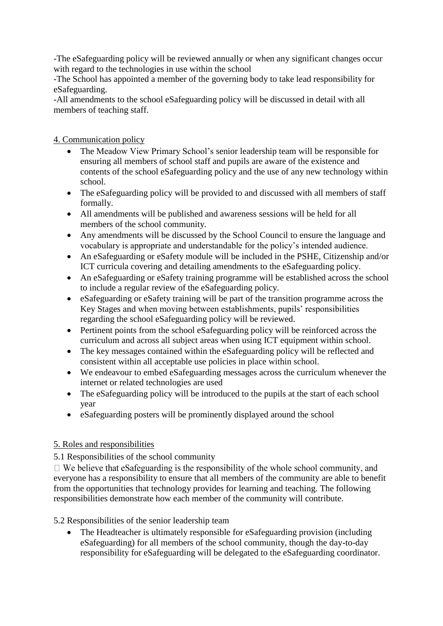-The eSafeguarding policy will be reviewed annually or when any significant changes occur with regard to the technologies in use within the school

-The School has appointed a member of the governing body to take lead responsibility for eSafeguarding.

-All amendments to the school eSafeguarding policy will be discussed in detail with all members of teaching staff.

<span id="page-4-0"></span>4. Communication policy

- The Meadow View Primary School's senior leadership team will be responsible for ensuring all members of school staff and pupils are aware of the existence and contents of the school eSafeguarding policy and the use of any new technology within school.
- The eSafeguarding policy will be provided to and discussed with all members of staff formally.
- All amendments will be published and awareness sessions will be held for all members of the school community.
- Any amendments will be discussed by the School Council to ensure the language and vocabulary is appropriate and understandable for the policy's intended audience.
- An eSafeguarding or eSafety module will be included in the PSHE, Citizenship and/or ICT curricula covering and detailing amendments to the eSafeguarding policy.
- An eSafeguarding or eSafety training programme will be established across the school to include a regular review of the eSafeguarding policy.
- eSafeguarding or eSafety training will be part of the transition programme across the Key Stages and when moving between establishments, pupils' responsibilities regarding the school eSafeguarding policy will be reviewed.
- Pertinent points from the school eSafeguarding policy will be reinforced across the curriculum and across all subject areas when using ICT equipment within school.
- The key messages contained within the eSafeguarding policy will be reflected and consistent within all acceptable use policies in place within school.
- We endeavour to embed eSafeguarding messages across the curriculum whenever the internet or related technologies are used
- The eSafeguarding policy will be introduced to the pupils at the start of each school year
- eSafeguarding posters will be prominently displayed around the school

#### <span id="page-4-1"></span>5. Roles and responsibilities

#### <span id="page-4-2"></span>5.1 Responsibilities of the school community

 $\Box$  We believe that eSafeguarding is the responsibility of the whole school community, and everyone has a responsibility to ensure that all members of the community are able to benefit from the opportunities that technology provides for learning and teaching. The following responsibilities demonstrate how each member of the community will contribute.

<span id="page-4-3"></span>5.2 Responsibilities of the senior leadership team

• The Headteacher is ultimately responsible for eSafeguarding provision (including eSafeguarding) for all members of the school community, though the day-to-day responsibility for eSafeguarding will be delegated to the eSafeguarding coordinator.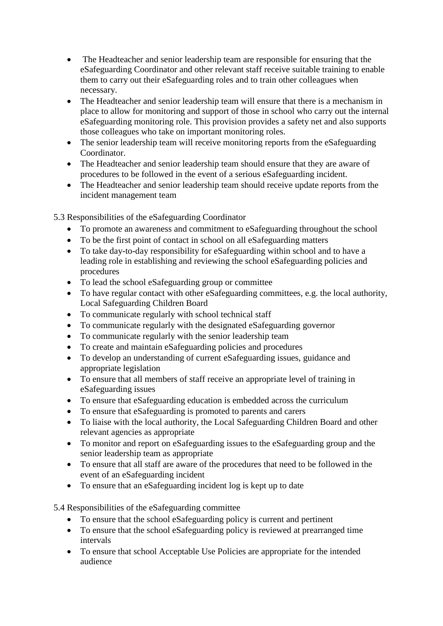- The Headteacher and senior leadership team are responsible for ensuring that the eSafeguarding Coordinator and other relevant staff receive suitable training to enable them to carry out their eSafeguarding roles and to train other colleagues when necessary.
- The Headteacher and senior leadership team will ensure that there is a mechanism in place to allow for monitoring and support of those in school who carry out the internal eSafeguarding monitoring role. This provision provides a safety net and also supports those colleagues who take on important monitoring roles.
- The senior leadership team will receive monitoring reports from the eSafeguarding **Coordinator**
- The Headteacher and senior leadership team should ensure that they are aware of procedures to be followed in the event of a serious eSafeguarding incident.
- The Headteacher and senior leadership team should receive update reports from the incident management team

<span id="page-5-0"></span>5.3 Responsibilities of the eSafeguarding Coordinator

- To promote an awareness and commitment to eSafeguarding throughout the school
- To be the first point of contact in school on all eSafeguarding matters
- To take day-to-day responsibility for eSafeguarding within school and to have a leading role in establishing and reviewing the school eSafeguarding policies and procedures
- To lead the school eSafeguarding group or committee
- To have regular contact with other eSafeguarding committees, e.g. the local authority, Local Safeguarding Children Board
- To communicate regularly with school technical staff
- To communicate regularly with the designated eSafeguarding governor
- To communicate regularly with the senior leadership team
- To create and maintain eSafeguarding policies and procedures
- To develop an understanding of current eSafeguarding issues, guidance and appropriate legislation
- To ensure that all members of staff receive an appropriate level of training in eSafeguarding issues
- To ensure that eSafeguarding education is embedded across the curriculum
- To ensure that eSafeguarding is promoted to parents and carers
- To liaise with the local authority, the Local Safeguarding Children Board and other relevant agencies as appropriate
- To monitor and report on eSafeguarding issues to the eSafeguarding group and the senior leadership team as appropriate
- To ensure that all staff are aware of the procedures that need to be followed in the event of an eSafeguarding incident
- To ensure that an eSafeguarding incident log is kept up to date

<span id="page-5-1"></span>5.4 Responsibilities of the eSafeguarding committee

- To ensure that the school eSafeguarding policy is current and pertinent
- To ensure that the school eSafeguarding policy is reviewed at prearranged time intervals
- To ensure that school Acceptable Use Policies are appropriate for the intended audience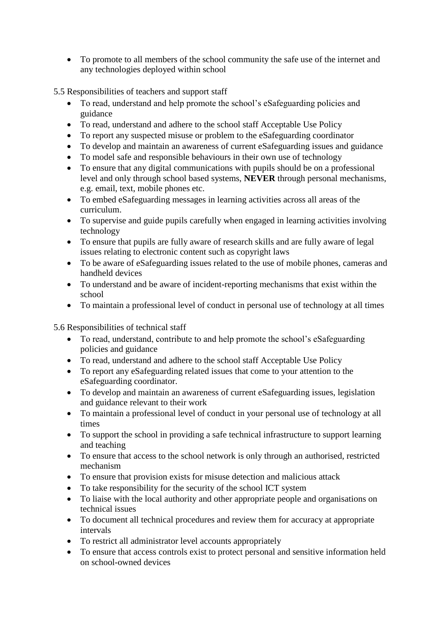To promote to all members of the school community the safe use of the internet and any technologies deployed within school

<span id="page-6-0"></span>5.5 Responsibilities of teachers and support staff

- To read, understand and help promote the school's eSafeguarding policies and guidance
- To read, understand and adhere to the school staff Acceptable Use Policy
- To report any suspected misuse or problem to the eSafeguarding coordinator
- To develop and maintain an awareness of current eSafeguarding issues and guidance
- To model safe and responsible behaviours in their own use of technology
- To ensure that any digital communications with pupils should be on a professional level and only through school based systems, **NEVER** through personal mechanisms, e.g. email, text, mobile phones etc.
- To embed eSafeguarding messages in learning activities across all areas of the curriculum.
- To supervise and guide pupils carefully when engaged in learning activities involving technology
- To ensure that pupils are fully aware of research skills and are fully aware of legal issues relating to electronic content such as copyright laws
- To be aware of eSafeguarding issues related to the use of mobile phones, cameras and handheld devices
- To understand and be aware of incident-reporting mechanisms that exist within the school
- To maintain a professional level of conduct in personal use of technology at all times

<span id="page-6-1"></span>5.6 Responsibilities of technical staff

- To read, understand, contribute to and help promote the school's eSafeguarding policies and guidance
- To read, understand and adhere to the school staff Acceptable Use Policy
- To report any eSafeguarding related issues that come to your attention to the eSafeguarding coordinator.
- To develop and maintain an awareness of current eSafeguarding issues, legislation and guidance relevant to their work
- To maintain a professional level of conduct in your personal use of technology at all times
- To support the school in providing a safe technical infrastructure to support learning and teaching
- To ensure that access to the school network is only through an authorised, restricted mechanism
- To ensure that provision exists for misuse detection and malicious attack
- To take responsibility for the security of the school ICT system
- To liaise with the local authority and other appropriate people and organisations on technical issues
- To document all technical procedures and review them for accuracy at appropriate intervals
- To restrict all administrator level accounts appropriately
- To ensure that access controls exist to protect personal and sensitive information held on school-owned devices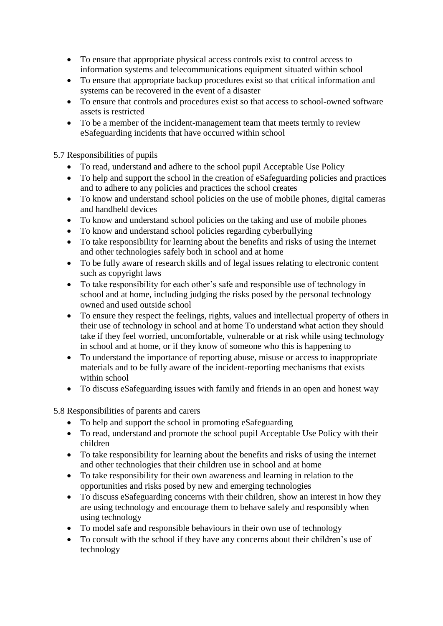- To ensure that appropriate physical access controls exist to control access to information systems and telecommunications equipment situated within school
- To ensure that appropriate backup procedures exist so that critical information and systems can be recovered in the event of a disaster
- To ensure that controls and procedures exist so that access to school-owned software assets is restricted
- To be a member of the incident-management team that meets termly to review eSafeguarding incidents that have occurred within school

<span id="page-7-0"></span>5.7 Responsibilities of pupils

- To read, understand and adhere to the school pupil Acceptable Use Policy
- To help and support the school in the creation of eSafeguarding policies and practices and to adhere to any policies and practices the school creates
- To know and understand school policies on the use of mobile phones, digital cameras and handheld devices
- To know and understand school policies on the taking and use of mobile phones
- To know and understand school policies regarding cyberbullying
- To take responsibility for learning about the benefits and risks of using the internet and other technologies safely both in school and at home
- To be fully aware of research skills and of legal issues relating to electronic content such as copyright laws
- To take responsibility for each other's safe and responsible use of technology in school and at home, including judging the risks posed by the personal technology owned and used outside school
- To ensure they respect the feelings, rights, values and intellectual property of others in their use of technology in school and at home To understand what action they should take if they feel worried, uncomfortable, vulnerable or at risk while using technology in school and at home, or if they know of someone who this is happening to
- To understand the importance of reporting abuse, misuse or access to inappropriate materials and to be fully aware of the incident-reporting mechanisms that exists within school
- To discuss eSafeguarding issues with family and friends in an open and honest way

<span id="page-7-1"></span>5.8 Responsibilities of parents and carers

- To help and support the school in promoting eSafeguarding
- To read, understand and promote the school pupil Acceptable Use Policy with their children
- To take responsibility for learning about the benefits and risks of using the internet and other technologies that their children use in school and at home
- To take responsibility for their own awareness and learning in relation to the opportunities and risks posed by new and emerging technologies
- To discuss eSafeguarding concerns with their children, show an interest in how they are using technology and encourage them to behave safely and responsibly when using technology
- To model safe and responsible behaviours in their own use of technology
- To consult with the school if they have any concerns about their children's use of technology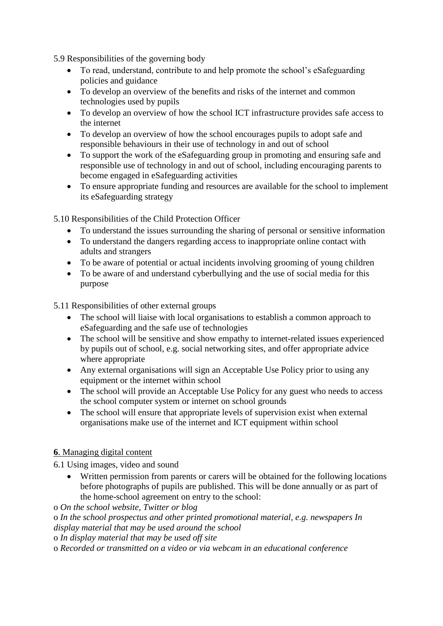<span id="page-8-0"></span>5.9 Responsibilities of the governing body

- To read, understand, contribute to and help promote the school's eSafeguarding policies and guidance
- To develop an overview of the benefits and risks of the internet and common technologies used by pupils
- To develop an overview of how the school ICT infrastructure provides safe access to the internet
- To develop an overview of how the school encourages pupils to adopt safe and responsible behaviours in their use of technology in and out of school
- To support the work of the eSafeguarding group in promoting and ensuring safe and responsible use of technology in and out of school, including encouraging parents to become engaged in eSafeguarding activities
- To ensure appropriate funding and resources are available for the school to implement its eSafeguarding strategy

<span id="page-8-1"></span>5.10 Responsibilities of the Child Protection Officer

- To understand the issues surrounding the sharing of personal or sensitive information
- To understand the dangers regarding access to inappropriate online contact with adults and strangers
- To be aware of potential or actual incidents involving grooming of young children
- To be aware of and understand cyberbullying and the use of social media for this purpose

<span id="page-8-2"></span>5.11 Responsibilities of other external groups

- The school will liaise with local organisations to establish a common approach to eSafeguarding and the safe use of technologies
- The school will be sensitive and show empathy to internet-related issues experienced by pupils out of school, e.g. social networking sites, and offer appropriate advice where appropriate
- Any external organisations will sign an Acceptable Use Policy prior to using any equipment or the internet within school
- The school will provide an Acceptable Use Policy for any guest who needs to access the school computer system or internet on school grounds
- The school will ensure that appropriate levels of supervision exist when external organisations make use of the internet and ICT equipment within school

#### <span id="page-8-3"></span>**6**. Managing digital content

<span id="page-8-4"></span>6.1 Using images, video and sound

 Written permission from parents or carers will be obtained for the following locations before photographs of pupils are published. This will be done annually or as part of the home-school agreement on entry to the school:

o *On the school website, Twitter or blog* 

o *In the school prospectus and other printed promotional material, e.g. newspapers In display material that may be used around the school* 

o *In display material that may be used off site* 

o *Recorded or transmitted on a video or via webcam in an educational conference*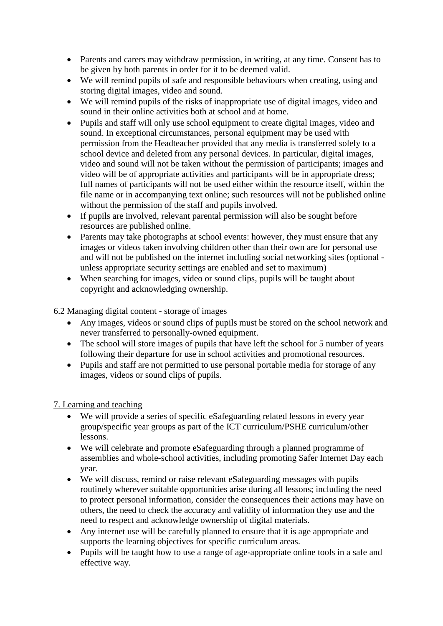- Parents and carers may withdraw permission, in writing, at any time. Consent has to be given by both parents in order for it to be deemed valid.
- We will remind pupils of safe and responsible behaviours when creating, using and storing digital images, video and sound.
- We will remind pupils of the risks of inappropriate use of digital images, video and sound in their online activities both at school and at home.
- Pupils and staff will only use school equipment to create digital images, video and sound. In exceptional circumstances, personal equipment may be used with permission from the Headteacher provided that any media is transferred solely to a school device and deleted from any personal devices. In particular, digital images, video and sound will not be taken without the permission of participants; images and video will be of appropriate activities and participants will be in appropriate dress; full names of participants will not be used either within the resource itself, within the file name or in accompanying text online; such resources will not be published online without the permission of the staff and pupils involved.
- If pupils are involved, relevant parental permission will also be sought before resources are published online.
- Parents may take photographs at school events: however, they must ensure that any images or videos taken involving children other than their own are for personal use and will not be published on the internet including social networking sites (optional unless appropriate security settings are enabled and set to maximum)
- When searching for images, video or sound clips, pupils will be taught about copyright and acknowledging ownership.

<span id="page-9-0"></span>6.2 Managing digital content - storage of images

- Any images, videos or sound clips of pupils must be stored on the school network and never transferred to personally-owned equipment.
- The school will store images of pupils that have left the school for 5 number of years following their departure for use in school activities and promotional resources.
- Pupils and staff are not permitted to use personal portable media for storage of any images, videos or sound clips of pupils.

#### <span id="page-9-1"></span>7. Learning and teaching

- We will provide a series of specific eSafeguarding related lessons in every year group/specific year groups as part of the ICT curriculum/PSHE curriculum/other lessons.
- We will celebrate and promote eSafeguarding through a planned programme of assemblies and whole-school activities, including promoting Safer Internet Day each year.
- We will discuss, remind or raise relevant eSafeguarding messages with pupils routinely wherever suitable opportunities arise during all lessons; including the need to protect personal information, consider the consequences their actions may have on others, the need to check the accuracy and validity of information they use and the need to respect and acknowledge ownership of digital materials.
- Any internet use will be carefully planned to ensure that it is age appropriate and supports the learning objectives for specific curriculum areas.
- Pupils will be taught how to use a range of age-appropriate online tools in a safe and effective way.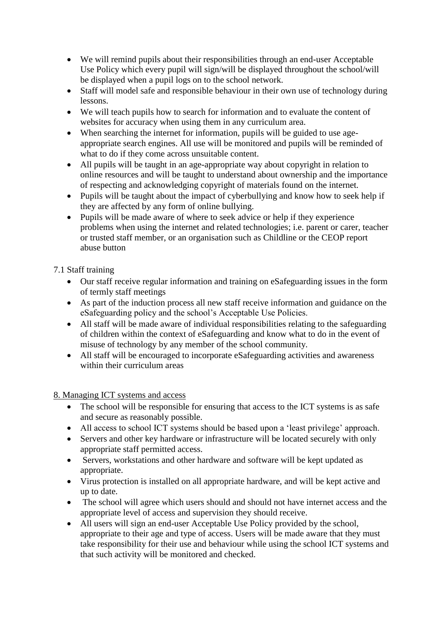- We will remind pupils about their responsibilities through an end-user Acceptable Use Policy which every pupil will sign/will be displayed throughout the school/will be displayed when a pupil logs on to the school network.
- Staff will model safe and responsible behaviour in their own use of technology during lessons.
- We will teach pupils how to search for information and to evaluate the content of websites for accuracy when using them in any curriculum area.
- When searching the internet for information, pupils will be guided to use ageappropriate search engines. All use will be monitored and pupils will be reminded of what to do if they come across unsuitable content.
- All pupils will be taught in an age-appropriate way about copyright in relation to online resources and will be taught to understand about ownership and the importance of respecting and acknowledging copyright of materials found on the internet.
- Pupils will be taught about the impact of cyberbullying and know how to seek help if they are affected by any form of online bullying.
- Pupils will be made aware of where to seek advice or help if they experience problems when using the internet and related technologies; i.e. parent or carer, teacher or trusted staff member, or an organisation such as Childline or the CEOP report abuse button

<span id="page-10-0"></span>7.1 Staff training

- Our staff receive regular information and training on eSafeguarding issues in the form of termly staff meetings
- As part of the induction process all new staff receive information and guidance on the eSafeguarding policy and the school's Acceptable Use Policies.
- All staff will be made aware of individual responsibilities relating to the safeguarding of children within the context of eSafeguarding and know what to do in the event of misuse of technology by any member of the school community.
- All staff will be encouraged to incorporate eSafeguarding activities and awareness within their curriculum areas

<span id="page-10-1"></span>8. Managing ICT systems and access

- The school will be responsible for ensuring that access to the ICT systems is as safe and secure as reasonably possible.
- All access to school ICT systems should be based upon a 'least privilege' approach.
- Servers and other key hardware or infrastructure will be located securely with only appropriate staff permitted access.
- Servers, workstations and other hardware and software will be kept updated as appropriate.
- Virus protection is installed on all appropriate hardware, and will be kept active and up to date.
- The school will agree which users should and should not have internet access and the appropriate level of access and supervision they should receive.
- All users will sign an end-user Acceptable Use Policy provided by the school, appropriate to their age and type of access. Users will be made aware that they must take responsibility for their use and behaviour while using the school ICT systems and that such activity will be monitored and checked.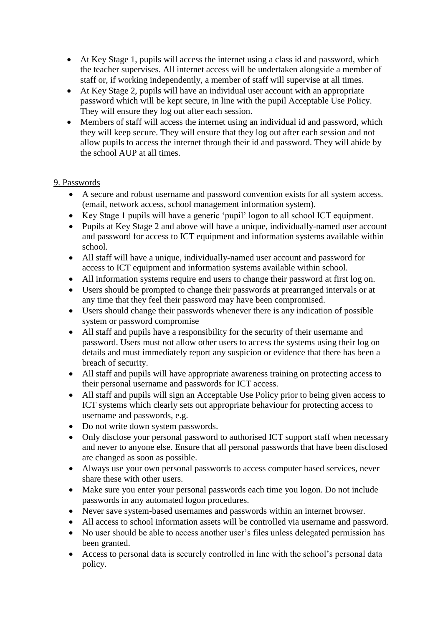- At Key Stage 1, pupils will access the internet using a class id and password, which the teacher supervises. All internet access will be undertaken alongside a member of staff or, if working independently, a member of staff will supervise at all times.
- At Key Stage 2, pupils will have an individual user account with an appropriate password which will be kept secure, in line with the pupil Acceptable Use Policy. They will ensure they log out after each session.
- Members of staff will access the internet using an individual id and password, which they will keep secure. They will ensure that they log out after each session and not allow pupils to access the internet through their id and password. They will abide by the school AUP at all times.

#### <span id="page-11-0"></span>9. Passwords

- A secure and robust username and password convention exists for all system access. (email, network access, school management information system).
- Key Stage 1 pupils will have a generic 'pupil' logon to all school ICT equipment.
- Pupils at Key Stage 2 and above will have a unique, individually-named user account and password for access to ICT equipment and information systems available within school.
- All staff will have a unique, individually-named user account and password for access to ICT equipment and information systems available within school.
- All information systems require end users to change their password at first log on.
- Users should be prompted to change their passwords at prearranged intervals or at any time that they feel their password may have been compromised.
- Users should change their passwords whenever there is any indication of possible system or password compromise
- All staff and pupils have a responsibility for the security of their username and password. Users must not allow other users to access the systems using their log on details and must immediately report any suspicion or evidence that there has been a breach of security.
- All staff and pupils will have appropriate awareness training on protecting access to their personal username and passwords for ICT access.
- All staff and pupils will sign an Acceptable Use Policy prior to being given access to ICT systems which clearly sets out appropriate behaviour for protecting access to username and passwords, e.g.
- Do not write down system passwords.
- Only disclose your personal password to authorised ICT support staff when necessary and never to anyone else. Ensure that all personal passwords that have been disclosed are changed as soon as possible.
- Always use your own personal passwords to access computer based services, never share these with other users.
- Make sure you enter your personal passwords each time you logon. Do not include passwords in any automated logon procedures.
- Never save system-based usernames and passwords within an internet browser.
- All access to school information assets will be controlled via username and password.
- No user should be able to access another user's files unless delegated permission has been granted.
- Access to personal data is securely controlled in line with the school's personal data policy.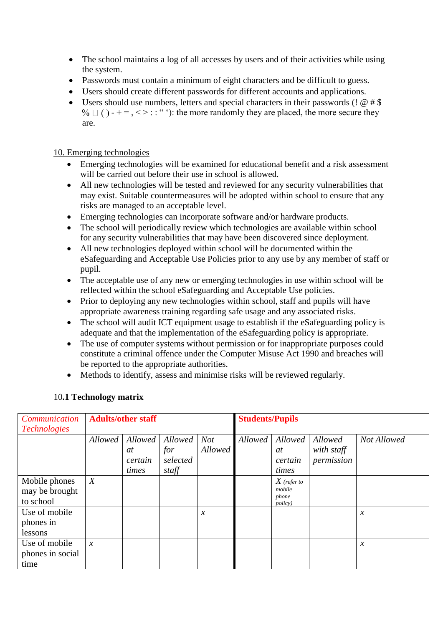- The school maintains a log of all accesses by users and of their activities while using the system.
- Passwords must contain a minimum of eight characters and be difficult to guess.
- Users should create different passwords for different accounts and applications.
- Users should use numbers, letters and special characters in their passwords (!  $@#$  \$  $\% \square$  () - + = , < > : : "'): the more randomly they are placed, the more secure they are.

#### <span id="page-12-0"></span>10. Emerging technologies

- Emerging technologies will be examined for educational benefit and a risk assessment will be carried out before their use in school is allowed.
- All new technologies will be tested and reviewed for any security vulnerabilities that may exist. Suitable countermeasures will be adopted within school to ensure that any risks are managed to an acceptable level.
- Emerging technologies can incorporate software and/or hardware products.
- The school will periodically review which technologies are available within school for any security vulnerabilities that may have been discovered since deployment.
- All new technologies deployed within school will be documented within the eSafeguarding and Acceptable Use Policies prior to any use by any member of staff or pupil.
- The acceptable use of any new or emerging technologies in use within school will be reflected within the school eSafeguarding and Acceptable Use policies.
- Prior to deploying any new technologies within school, staff and pupils will have appropriate awareness training regarding safe usage and any associated risks.
- The school will audit ICT equipment usage to establish if the eSafeguarding policy is adequate and that the implementation of the eSafeguarding policy is appropriate.
- The use of computer systems without permission or for inappropriate purposes could constitute a criminal offence under the Computer Misuse Act 1990 and breaches will be reported to the appropriate authorities.
- Methods to identify, assess and minimise risks will be reviewed regularly.

#### <span id="page-12-1"></span>10**.1 Technology matrix**

| <b>Communication</b> | <b>Adults/other staff</b> |         |          | <b>Students/Pupils</b> |         |                 |            |                     |
|----------------------|---------------------------|---------|----------|------------------------|---------|-----------------|------------|---------------------|
| <i>Technologies</i>  |                           |         |          |                        |         |                 |            |                     |
|                      | Allowed                   | Allowed | Allowed  | <b>Not</b>             | Allowed | Allowed         | Allowed    | Not Allowed         |
|                      |                           | at      | for      | Allowed                |         | at              | with staff |                     |
|                      |                           | certain | selected |                        |         | certain         | permission |                     |
|                      |                           | times   | staff    |                        |         | times           |            |                     |
| Mobile phones        | $\boldsymbol{X}$          |         |          |                        |         | $X$ (refer to   |            |                     |
| may be brought       |                           |         |          |                        |         | mobile<br>phone |            |                     |
| to school            |                           |         |          |                        |         | <i>policy</i> ) |            |                     |
| Use of mobile        |                           |         |          | $\mathcal{X}$          |         |                 |            | $\boldsymbol{\chi}$ |
| phones in            |                           |         |          |                        |         |                 |            |                     |
| lessons              |                           |         |          |                        |         |                 |            |                     |
| Use of mobile        | $\mathcal{X}$             |         |          |                        |         |                 |            | $\boldsymbol{\chi}$ |
| phones in social     |                           |         |          |                        |         |                 |            |                     |
| time                 |                           |         |          |                        |         |                 |            |                     |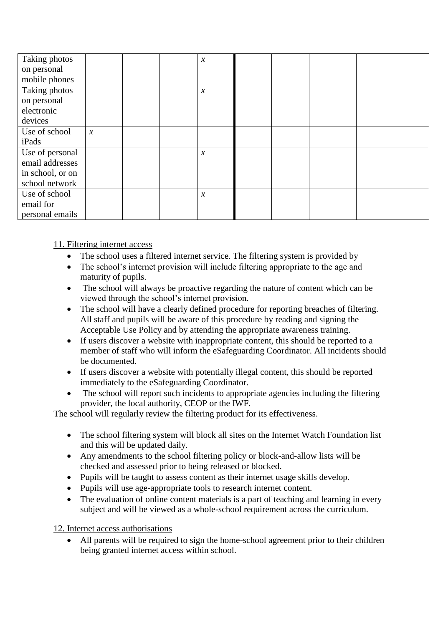| Taking photos    |                     |  | $\boldsymbol{\chi}$ |  |  |
|------------------|---------------------|--|---------------------|--|--|
| on personal      |                     |  |                     |  |  |
| mobile phones    |                     |  |                     |  |  |
| Taking photos    |                     |  | $\boldsymbol{\chi}$ |  |  |
| on personal      |                     |  |                     |  |  |
| electronic       |                     |  |                     |  |  |
| devices          |                     |  |                     |  |  |
| Use of school    | $\boldsymbol{\chi}$ |  |                     |  |  |
| iPads            |                     |  |                     |  |  |
| Use of personal  |                     |  | $\boldsymbol{\chi}$ |  |  |
| email addresses  |                     |  |                     |  |  |
| in school, or on |                     |  |                     |  |  |
| school network   |                     |  |                     |  |  |
| Use of school    |                     |  | $\boldsymbol{\chi}$ |  |  |
| email for        |                     |  |                     |  |  |
| personal emails  |                     |  |                     |  |  |

<span id="page-13-0"></span>11. Filtering internet access

- The school uses a filtered internet service. The filtering system is provided by
- The school's internet provision will include filtering appropriate to the age and maturity of pupils.
- The school will always be proactive regarding the nature of content which can be viewed through the school's internet provision.
- The school will have a clearly defined procedure for reporting breaches of filtering. All staff and pupils will be aware of this procedure by reading and signing the Acceptable Use Policy and by attending the appropriate awareness training.
- If users discover a website with inappropriate content, this should be reported to a member of staff who will inform the eSafeguarding Coordinator. All incidents should be documented.
- If users discover a website with potentially illegal content, this should be reported immediately to the eSafeguarding Coordinator.
- The school will report such incidents to appropriate agencies including the filtering provider, the local authority, CEOP or the IWF.

The school will regularly review the filtering product for its effectiveness.

- The school filtering system will block all sites on the Internet Watch Foundation list and this will be updated daily.
- Any amendments to the school filtering policy or block-and-allow lists will be checked and assessed prior to being released or blocked.
- Pupils will be taught to assess content as their internet usage skills develop.
- Pupils will use age-appropriate tools to research internet content.
- The evaluation of online content materials is a part of teaching and learning in every subject and will be viewed as a whole-school requirement across the curriculum.

<span id="page-13-1"></span>12. Internet access authorisations

 All parents will be required to sign the home-school agreement prior to their children being granted internet access within school.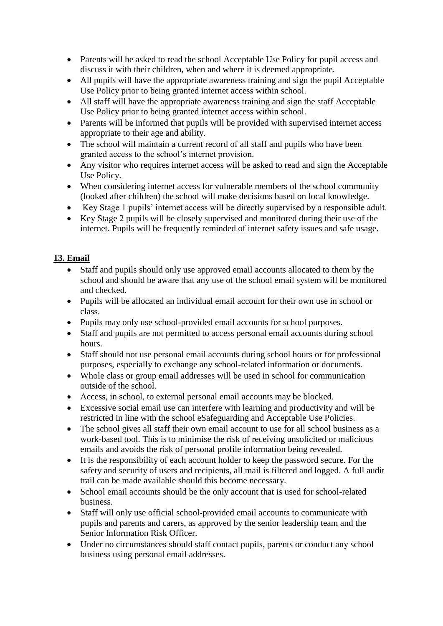- Parents will be asked to read the school Acceptable Use Policy for pupil access and discuss it with their children, when and where it is deemed appropriate.
- All pupils will have the appropriate awareness training and sign the pupil Acceptable Use Policy prior to being granted internet access within school.
- All staff will have the appropriate awareness training and sign the staff Acceptable Use Policy prior to being granted internet access within school.
- Parents will be informed that pupils will be provided with supervised internet access appropriate to their age and ability.
- The school will maintain a current record of all staff and pupils who have been granted access to the school's internet provision.
- Any visitor who requires internet access will be asked to read and sign the Acceptable Use Policy.
- When considering internet access for vulnerable members of the school community (looked after children) the school will make decisions based on local knowledge.
- Key Stage 1 pupils' internet access will be directly supervised by a responsible adult.
- Key Stage 2 pupils will be closely supervised and monitored during their use of the internet. Pupils will be frequently reminded of internet safety issues and safe usage.

#### <span id="page-14-0"></span>**13. Email**

- Staff and pupils should only use approved email accounts allocated to them by the school and should be aware that any use of the school email system will be monitored and checked.
- Pupils will be allocated an individual email account for their own use in school or class.
- Pupils may only use school-provided email accounts for school purposes.
- Staff and pupils are not permitted to access personal email accounts during school hours.
- Staff should not use personal email accounts during school hours or for professional purposes, especially to exchange any school-related information or documents.
- Whole class or group email addresses will be used in school for communication outside of the school.
- Access, in school, to external personal email accounts may be blocked.
- Excessive social email use can interfere with learning and productivity and will be restricted in line with the school eSafeguarding and Acceptable Use Policies.
- The school gives all staff their own email account to use for all school business as a work-based tool. This is to minimise the risk of receiving unsolicited or malicious emails and avoids the risk of personal profile information being revealed.
- It is the responsibility of each account holder to keep the password secure. For the safety and security of users and recipients, all mail is filtered and logged. A full audit trail can be made available should this become necessary.
- School email accounts should be the only account that is used for school-related business.
- Staff will only use official school-provided email accounts to communicate with pupils and parents and carers, as approved by the senior leadership team and the Senior Information Risk Officer.
- Under no circumstances should staff contact pupils, parents or conduct any school business using personal email addresses.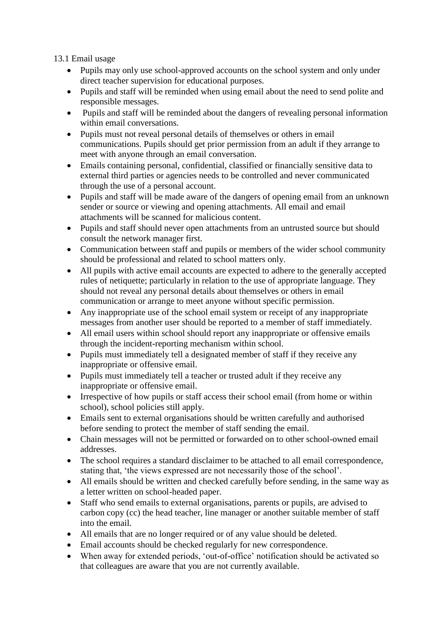<span id="page-15-0"></span>13.1 Email usage

- Pupils may only use school-approved accounts on the school system and only under direct teacher supervision for educational purposes.
- Pupils and staff will be reminded when using email about the need to send polite and responsible messages.
- Pupils and staff will be reminded about the dangers of revealing personal information within email conversations.
- Pupils must not reveal personal details of themselves or others in email communications. Pupils should get prior permission from an adult if they arrange to meet with anyone through an email conversation.
- Emails containing personal, confidential, classified or financially sensitive data to external third parties or agencies needs to be controlled and never communicated through the use of a personal account.
- Pupils and staff will be made aware of the dangers of opening email from an unknown sender or source or viewing and opening attachments. All email and email attachments will be scanned for malicious content.
- Pupils and staff should never open attachments from an untrusted source but should consult the network manager first.
- Communication between staff and pupils or members of the wider school community should be professional and related to school matters only.
- All pupils with active email accounts are expected to adhere to the generally accepted rules of netiquette; particularly in relation to the use of appropriate language. They should not reveal any personal details about themselves or others in email communication or arrange to meet anyone without specific permission.
- Any inappropriate use of the school email system or receipt of any inappropriate messages from another user should be reported to a member of staff immediately.
- All email users within school should report any inappropriate or offensive emails through the incident-reporting mechanism within school.
- Pupils must immediately tell a designated member of staff if they receive any inappropriate or offensive email.
- Pupils must immediately tell a teacher or trusted adult if they receive any inappropriate or offensive email.
- Irrespective of how pupils or staff access their school email (from home or within school), school policies still apply.
- Emails sent to external organisations should be written carefully and authorised before sending to protect the member of staff sending the email.
- Chain messages will not be permitted or forwarded on to other school-owned email addresses.
- The school requires a standard disclaimer to be attached to all email correspondence, stating that, 'the views expressed are not necessarily those of the school'.
- All emails should be written and checked carefully before sending, in the same way as a letter written on school-headed paper.
- Staff who send emails to external organisations, parents or pupils, are advised to carbon copy (cc) the head teacher, line manager or another suitable member of staff into the email.
- All emails that are no longer required or of any value should be deleted.
- Email accounts should be checked regularly for new correspondence.
- When away for extended periods, 'out-of-office' notification should be activated so that colleagues are aware that you are not currently available.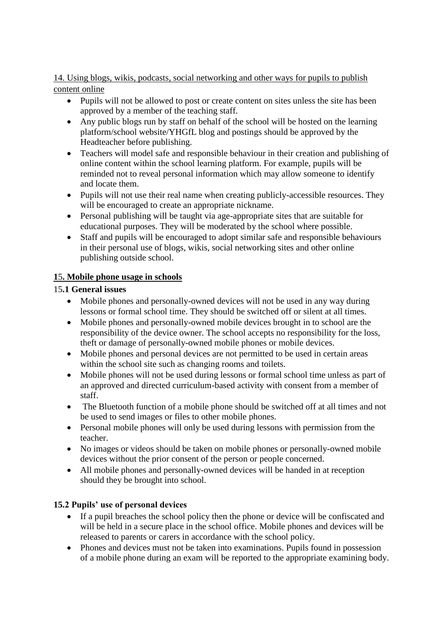#### <span id="page-16-0"></span>14. Using blogs, wikis, podcasts, social networking and other ways for pupils to publish content online

- Pupils will not be allowed to post or create content on sites unless the site has been approved by a member of the teaching staff.
- Any public blogs run by staff on behalf of the school will be hosted on the learning platform/school website/YHGfL blog and postings should be approved by the Headteacher before publishing.
- Teachers will model safe and responsible behaviour in their creation and publishing of online content within the school learning platform. For example, pupils will be reminded not to reveal personal information which may allow someone to identify and locate them.
- Pupils will not use their real name when creating publicly-accessible resources. They will be encouraged to create an appropriate nickname.
- Personal publishing will be taught via age-appropriate sites that are suitable for educational purposes. They will be moderated by the school where possible.
- Staff and pupils will be encouraged to adopt similar safe and responsible behaviours in their personal use of blogs, wikis, social networking sites and other online publishing outside school.

#### <span id="page-16-1"></span>**1**5**. Mobile phone usage in schools**

#### <span id="page-16-2"></span>15**.1 General issues**

- Mobile phones and personally-owned devices will not be used in any way during lessons or formal school time. They should be switched off or silent at all times.
- Mobile phones and personally-owned mobile devices brought in to school are the responsibility of the device owner. The school accepts no responsibility for the loss, theft or damage of personally-owned mobile phones or mobile devices.
- Mobile phones and personal devices are not permitted to be used in certain areas within the school site such as changing rooms and toilets.
- Mobile phones will not be used during lessons or formal school time unless as part of an approved and directed curriculum-based activity with consent from a member of staff.
- The Bluetooth function of a mobile phone should be switched off at all times and not be used to send images or files to other mobile phones.
- Personal mobile phones will only be used during lessons with permission from the teacher.
- No images or videos should be taken on mobile phones or personally-owned mobile devices without the prior consent of the person or people concerned.
- All mobile phones and personally-owned devices will be handed in at reception should they be brought into school.

## <span id="page-16-3"></span>**15.2 Pupils' use of personal devices**

- If a pupil breaches the school policy then the phone or device will be confiscated and will be held in a secure place in the school office. Mobile phones and devices will be released to parents or carers in accordance with the school policy.
- Phones and devices must not be taken into examinations. Pupils found in possession of a mobile phone during an exam will be reported to the appropriate examining body.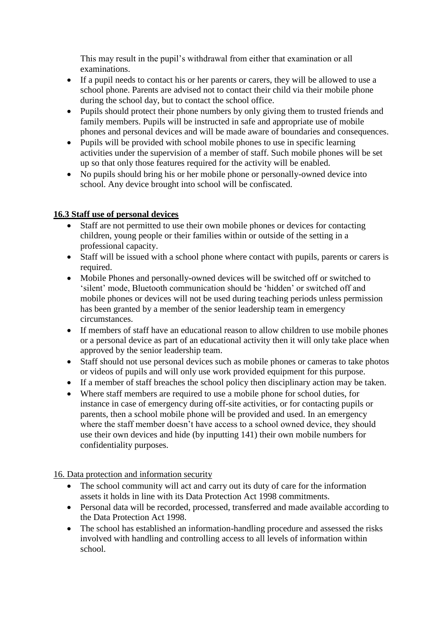This may result in the pupil's withdrawal from either that examination or all examinations.

- If a pupil needs to contact his or her parents or carers, they will be allowed to use a school phone. Parents are advised not to contact their child via their mobile phone during the school day, but to contact the school office.
- Pupils should protect their phone numbers by only giving them to trusted friends and family members. Pupils will be instructed in safe and appropriate use of mobile phones and personal devices and will be made aware of boundaries and consequences.
- Pupils will be provided with school mobile phones to use in specific learning activities under the supervision of a member of staff. Such mobile phones will be set up so that only those features required for the activity will be enabled.
- No pupils should bring his or her mobile phone or personally-owned device into school. Any device brought into school will be confiscated.

#### <span id="page-17-0"></span>**16.3 Staff use of personal devices**

- Staff are not permitted to use their own mobile phones or devices for contacting children, young people or their families within or outside of the setting in a professional capacity.
- Staff will be issued with a school phone where contact with pupils, parents or carers is required.
- Mobile Phones and personally-owned devices will be switched off or switched to 'silent' mode, Bluetooth communication should be 'hidden' or switched off and mobile phones or devices will not be used during teaching periods unless permission has been granted by a member of the senior leadership team in emergency circumstances.
- If members of staff have an educational reason to allow children to use mobile phones or a personal device as part of an educational activity then it will only take place when approved by the senior leadership team.
- Staff should not use personal devices such as mobile phones or cameras to take photos or videos of pupils and will only use work provided equipment for this purpose.
- If a member of staff breaches the school policy then disciplinary action may be taken.
- Where staff members are required to use a mobile phone for school duties, for instance in case of emergency during off-site activities, or for contacting pupils or parents, then a school mobile phone will be provided and used. In an emergency where the staff member doesn't have access to a school owned device, they should use their own devices and hide (by inputting 141) their own mobile numbers for confidentiality purposes.

<span id="page-17-1"></span>16. Data protection and information security

- The school community will act and carry out its duty of care for the information assets it holds in line with its Data Protection Act 1998 commitments.
- Personal data will be recorded, processed, transferred and made available according to the Data Protection Act 1998.
- The school has established an information-handling procedure and assessed the risks involved with handling and controlling access to all levels of information within school.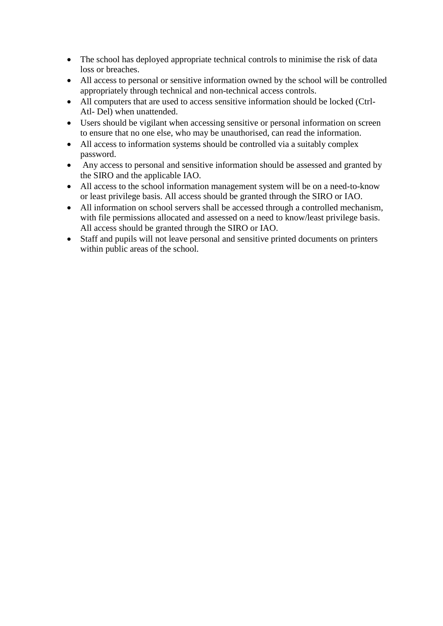- The school has deployed appropriate technical controls to minimise the risk of data loss or breaches.
- All access to personal or sensitive information owned by the school will be controlled appropriately through technical and non-technical access controls.
- All computers that are used to access sensitive information should be locked (Ctrl-Atl- Del) when unattended.
- Users should be vigilant when accessing sensitive or personal information on screen to ensure that no one else, who may be unauthorised, can read the information.
- All access to information systems should be controlled via a suitably complex password.
- Any access to personal and sensitive information should be assessed and granted by the SIRO and the applicable IAO.
- All access to the school information management system will be on a need-to-know or least privilege basis. All access should be granted through the SIRO or IAO.
- All information on school servers shall be accessed through a controlled mechanism, with file permissions allocated and assessed on a need to know/least privilege basis. All access should be granted through the SIRO or IAO.
- Staff and pupils will not leave personal and sensitive printed documents on printers within public areas of the school.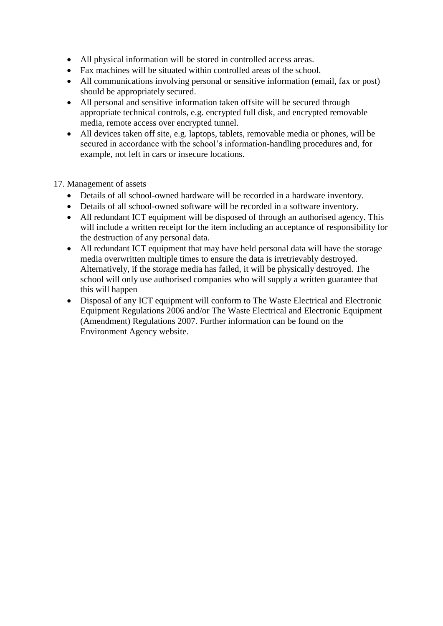- All physical information will be stored in controlled access areas.
- Fax machines will be situated within controlled areas of the school.
- All communications involving personal or sensitive information (email, fax or post) should be appropriately secured.
- All personal and sensitive information taken offsite will be secured through appropriate technical controls, e.g. encrypted full disk, and encrypted removable media, remote access over encrypted tunnel.
- All devices taken off site, e.g. laptops, tablets, removable media or phones, will be secured in accordance with the school's information-handling procedures and, for example, not left in cars or insecure locations.

#### <span id="page-19-0"></span>17. Management of assets

- Details of all school-owned hardware will be recorded in a hardware inventory.
- Details of all school-owned software will be recorded in a software inventory.
- All redundant ICT equipment will be disposed of through an authorised agency. This will include a written receipt for the item including an acceptance of responsibility for the destruction of any personal data.
- All redundant ICT equipment that may have held personal data will have the storage media overwritten multiple times to ensure the data is irretrievably destroyed. Alternatively, if the storage media has failed, it will be physically destroyed. The school will only use authorised companies who will supply a written guarantee that this will happen
- Disposal of any ICT equipment will conform to The Waste Electrical and Electronic Equipment Regulations 2006 and/or The Waste Electrical and Electronic Equipment (Amendment) Regulations 2007. Further information can be found on the Environment Agency website.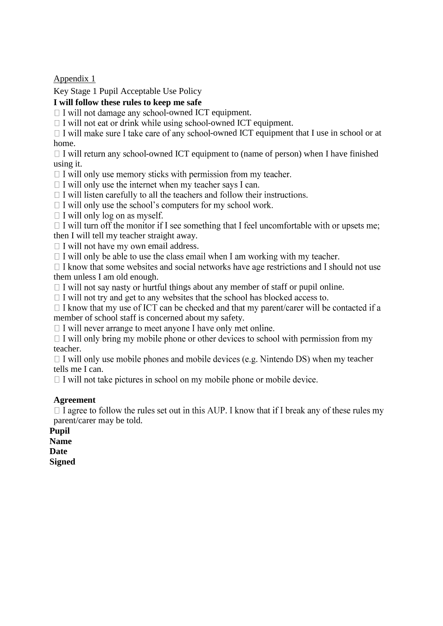<span id="page-20-0"></span>Appendix 1

<span id="page-20-1"></span>Key Stage 1 Pupil Acceptable Use Policy

#### **I will follow these rules to keep me safe**

 $\Box$  I will not damage any school-owned ICT equipment.

 $\Box$  I will not eat or drink while using school-owned ICT equipment.

 $\Box$  I will make sure I take care of any school-owned ICT equipment that I use in school or at home.

 $\Box$  I will return any school-owned ICT equipment to (name of person) when I have finished using it.

- $\Box$  I will only use memory sticks with permission from my teacher.
- $\Box$  I will only use the internet when my teacher says I can.
- $\Box$  I will listen carefully to all the teachers and follow their instructions.
- $\Box$  I will only use the school's computers for my school work.
- $\Box$  I will only log on as myself.

 $\Box$  I will turn off the monitor if I see something that I feel uncomfortable with or upsets me; then I will tell my teacher straight away.

 $\Box$  I will not have my own email address.

 $\Box$  I will only be able to use the class email when I am working with my teacher.

 $\Box$  I know that some websites and social networks have age restrictions and I should not use them unless I am old enough.

 $\Box$  I will not say nasty or hurtful things about any member of staff or pupil online.

 $\Box$  I will not try and get to any websites that the school has blocked access to.

 $\Box$  I know that my use of ICT can be checked and that my parent/carer will be contacted if a member of school staff is concerned about my safety.

 $\Box$  I will never arrange to meet anyone I have only met online.

 $\Box$  I will only bring my mobile phone or other devices to school with permission from my teacher.

 $\Box$  I will only use mobile phones and mobile devices (e.g. Nintendo DS) when my teacher tells me I can.

 $\Box$  I will not take pictures in school on my mobile phone or mobile device.

#### **Agreement**

 $\Box$  I agree to follow the rules set out in this AUP. I know that if I break any of these rules my parent/carer may be told.

**Pupil Name** 

**Date** 

**Signed**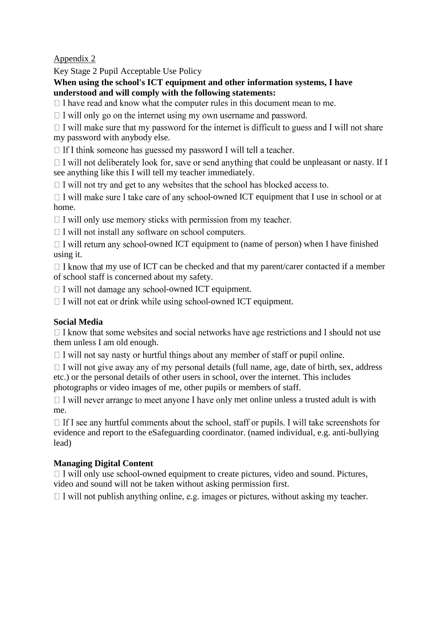<span id="page-21-0"></span>Appendix 2

<span id="page-21-1"></span>Key Stage 2 Pupil Acceptable Use Policy

**When using the school's ICT equipment and other information systems, I have understood and will comply with the following statements:** 

 $\Box$  I have read and know what the computer rules in this document mean to me.

 $\Box$  I will only go on the internet using my own username and password.

 $\Box$  I will make sure that my password for the internet is difficult to guess and I will not share my password with anybody else.

 $\Box$  If I think someone has guessed my password I will tell a teacher.

 $\Box$  I will not deliberately look for, save or send anything that could be unpleasant or nasty. If I see anything like this I will tell my teacher immediately.

 $\Box$  I will not try and get to any websites that the school has blocked access to.

 $\Box$  I will make sure I take care of any school-owned ICT equipment that I use in school or at home.

 $\Box$  I will only use memory sticks with permission from my teacher.

 $\Box$  I will not install any software on school computers.

 $\Box$  I will return any school-owned ICT equipment to (name of person) when I have finished using it.

 $\Box$  I know that my use of ICT can be checked and that my parent/carer contacted if a member of school staff is concerned about my safety.

 $\Box$  I will not damage any school-owned ICT equipment.

 $\Box$  I will not eat or drink while using school-owned ICT equipment.

## **Social Media**

 $\Box$  I know that some websites and social networks have age restrictions and I should not use them unless I am old enough.

 $\Box$  I will not say nasty or hurtful things about any member of staff or pupil online.

 $\Box$  I will not give away any of my personal details (full name, age, date of birth, sex, address etc.) or the personal details of other users in school, over the internet. This includes photographs or video images of me, other pupils or members of staff.

 $\Box$  I will never arrange to meet anyone I have only met online unless a trusted adult is with me.

 $\Box$  If I see any hurtful comments about the school, staff or pupils. I will take screenshots for evidence and report to the eSafeguarding coordinator. (named individual, e.g. anti-bullying lead)

#### **Managing Digital Content**

 $\Box$  I will only use school-owned equipment to create pictures, video and sound. Pictures, video and sound will not be taken without asking permission first.

 $\Box$  I will not publish anything online, e.g. images or pictures, without asking my teacher.